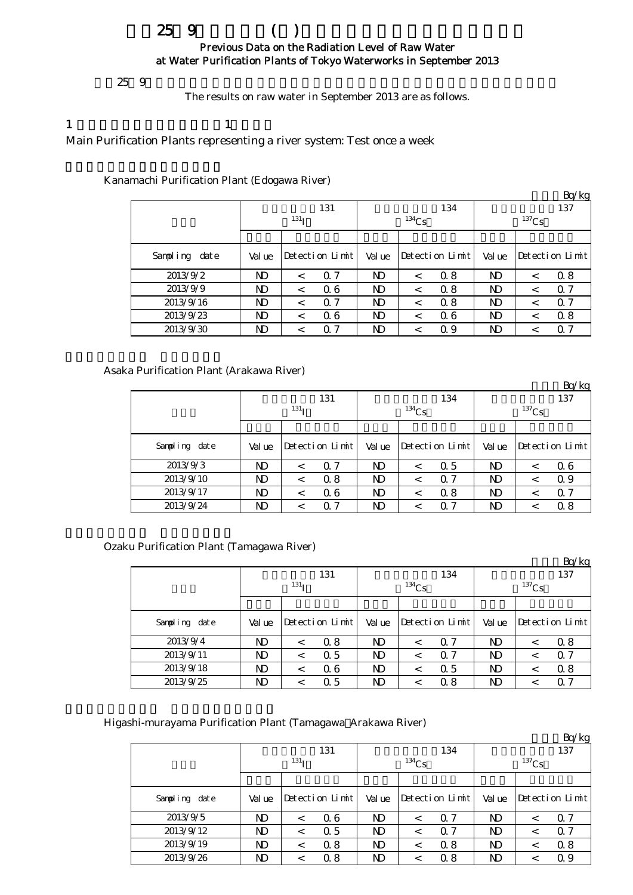# $259$  ( ) Previous Data on the Radiation Level of Raw Water at Water Purification Plants of Tokyo Waterworks in September 2013

 $259$ 

The results on raw water in September 2013 are as follows.

#### 1  $\qquad \qquad$  1

Main Purification Plants representing a river system: Test once a week

Kanamachi Purification Plant (Edogawa River)

|                  |                  |         |                 |             |            |                 |                |         | Bq/kg           |  |
|------------------|------------------|---------|-----------------|-------------|------------|-----------------|----------------|---------|-----------------|--|
|                  |                  |         | 131             |             |            | 134             | 137            |         |                 |  |
|                  | 131 <sub>T</sub> |         |                 |             | $^{134}Cs$ |                 | $137$ Cs       |         |                 |  |
|                  |                  |         |                 |             |            |                 |                |         |                 |  |
| Sampling<br>date | Val ue           |         | Detection Limit | Val ue      |            | Detection Limit | Val ue         |         | Detection Limit |  |
| 2013/9/2         | ND               | $\,<\,$ | 0.7             | ND          | $\,<\,$    | 0.8             | <b>ND</b>      | $\,<\,$ | 0.8             |  |
| 2013/9/9         | ND               | $\,<\,$ | 06              | ND          | $\,<\,$    | 0.8             | N <sub>D</sub> | $\,<\,$ | $\alpha$ 7      |  |
| 2013/9/16        | ND               | $\,<\,$ | $\Omega$ 7      | ND          | $\,<\,$    | 0.8             | <b>ND</b>      | $\,<\,$ | $\Omega$ 7      |  |
| 2013/9/23        | $_{\rm ND}$      | $\,<\,$ | 06              | ND          | $\,<\,$    | Q 6             | N <sub>D</sub> | $\,<\,$ | 0.8             |  |
| 2013/9/30        | $\mathbf{D}$     | $\,<\,$ | 0.7             | $_{\rm ND}$ | <          | Q 9             | ND             |         | Q 7             |  |

Asaka Purification Plant (Arakawa River)

|               |                  |                 |            |        |          |                 |                |                 | Bq/kg |  |
|---------------|------------------|-----------------|------------|--------|----------|-----------------|----------------|-----------------|-------|--|
|               |                  |                 | 131        |        |          | 134             | 137            |                 |       |  |
|               | 131 <sub>T</sub> |                 |            |        | $134$ Cs |                 | $137$ Cs       |                 |       |  |
|               |                  |                 |            |        |          |                 |                |                 |       |  |
| Sampling date | Val ue           | Detection Limit |            | Val ue |          | Detection Limit | Val ue         | Detection Limit |       |  |
| 2013/9/3      | ND               | $\,<\,$         | 0.7        | ND     | $\,<\,$  | 0.5             | N)             |                 | 06    |  |
| 2013/9/10     | ND               | $\,<\,$         | 0.8        | ND     | $\,<\,$  | 0.7             | $\mathbf{D}$   | <               | 0.9   |  |
| 2013/9/17     | ND               | $\,<\,$         | 06         | ND     | $\,<\,$  | 0.8             | N <sub>D</sub> | <               | 0.7   |  |
| 2013/9/24     | ND               | $\,<\,$         | $\alpha$ 7 | ND     | ≺        | 0.7             | $\mathbf{D}$   |                 | 0.8   |  |

Ozaku Purification Plant (Tamagawa River)

|               |                  |         |                 |                |                 |     |                |                 | Bq/kg |  |
|---------------|------------------|---------|-----------------|----------------|-----------------|-----|----------------|-----------------|-------|--|
|               |                  |         | 131             |                |                 | 134 | 137            |                 |       |  |
|               | 131 <sub>T</sub> |         |                 |                | $^{134}Cs$      |     | $137$ Cs       |                 |       |  |
|               |                  |         |                 |                |                 |     |                |                 |       |  |
| Sampling date | Val ue           |         | Detection Limit |                | Detection Limit |     | Val ue         | Detection Limit |       |  |
| 2013/9/4      | ND               | $\,<\,$ | 0.8             | ND             | <               | 0.7 | N)             |                 | 0.8   |  |
| 2013/9/11     | ND               | $\,<\,$ | 0.5             | N <sub>D</sub> | $\,<\,$         | Q 7 | ND             | $\,<\,$         | Q 7   |  |
| 2013/9/18     | ND               | $\,<\,$ | 06              | ND             | $\,<\,$         | 0.5 | N <sub>D</sub> | $\,<\,$         | 0.8   |  |
| 2013/9/25     | ND               |         | 0.5             | $_{\rm ND}$    | <               | 0.8 | ND             |                 | Q 7   |  |

Higashi-murayama Purification Plant (Tamagawa Arakawa River)

|                  |                  |                 |     |        |          |                 |          |                 | Bq/kg |  |
|------------------|------------------|-----------------|-----|--------|----------|-----------------|----------|-----------------|-------|--|
|                  |                  |                 | 131 |        |          | 134             | 137      |                 |       |  |
|                  | 131 <sub>T</sub> |                 |     |        | $134$ Cs |                 | $137$ Cs |                 |       |  |
|                  |                  |                 |     |        |          |                 |          |                 |       |  |
| Sampling<br>date | Val ue           | Detection Limit |     | Val ue |          | Detection Limit | Val ue   | Detection Limit |       |  |
| 2013/9/5         | ND               | $\,<\,$         | 06  | ND     | $\,<\,$  | 0.7             | ND       | $\,<\,$         | Q 7   |  |
| 2013/9/12        | ND               | $\,<\,$         | 0.5 | ND     | $\,<\,$  | 0.7             | ND       | $\,<\,$         | 0.7   |  |
| 2013/9/19        | ND               | $\,<\,$         | 0.8 | ND     | $\,<\,$  | 0.8             | ND       | $\,<\,$         | 0.8   |  |
| 2013/9/26        | ND               | $\,<\,$         | 0.8 | ND     | $\,<\,$  | 0.8             | ND       | $\,<\,$         | 0.9   |  |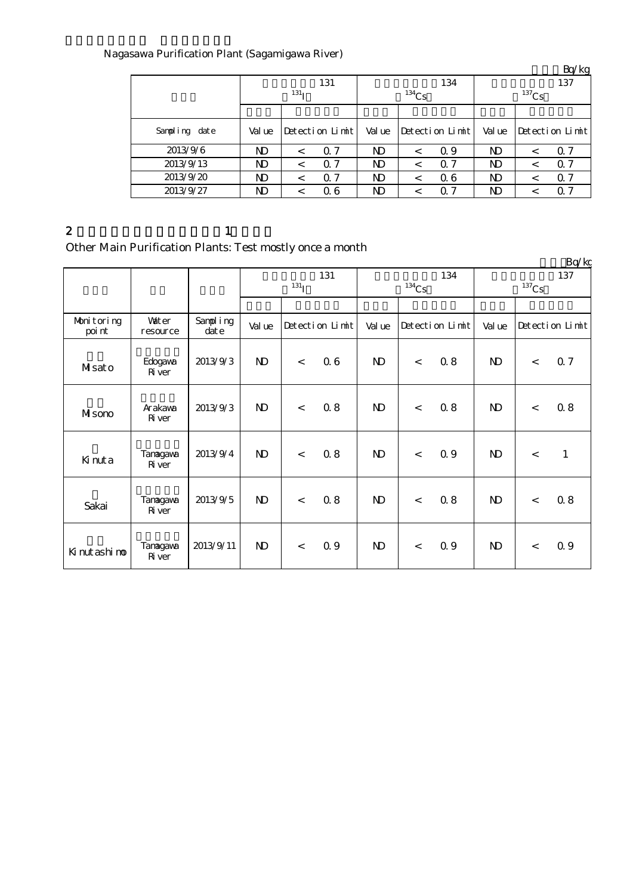## Nagasawa Purification Plant (Sagamigawa River)

|               |                  |         |                 |        |          |                 | $-4.5$<br>137  |   |                 |  |  |
|---------------|------------------|---------|-----------------|--------|----------|-----------------|----------------|---|-----------------|--|--|
|               |                  |         | 131             |        |          | 134             |                |   |                 |  |  |
|               | 131 <sub>T</sub> |         |                 |        | $134$ Cs |                 | $137$ Cs       |   |                 |  |  |
|               |                  |         |                 |        |          |                 |                |   |                 |  |  |
| Sampling date | Val ue           |         | Detection Limit | Val ue |          | Detection Limit | Val ue         |   | Detection Limit |  |  |
| 2013/9/6      | ND               | $\,<\,$ | 0.7             | ND     | $\,<\,$  | Q 9             | $\mathbf N$    |   | Q 7             |  |  |
| 2013/9/13     | ND               | $\,<\,$ | 0.7             | ND     | $\,<\,$  | Q 7             | $\mathbf{D}$   |   | $\Omega$ 7      |  |  |
| 2013/9/20     | ND               | $\,<\,$ | 0.7             | ND     | $\,<\,$  | Q 6             | N <sub>D</sub> | < | $\Omega$ 7      |  |  |
| 2013/9/27     | ND               | <       | 06              | ND     | $\,<\,$  | 0.7             | $\mathbf{D}$   |   | 0.7             |  |  |

#### 2  $1$

Other Main Purification Plants: Test mostly once a month

|                      |                           |                      |                         |                 |     |              |                 |     |              |         | Bq/kg           |
|----------------------|---------------------------|----------------------|-------------------------|-----------------|-----|--------------|-----------------|-----|--------------|---------|-----------------|
|                      |                           |                      | 131<br>131 <sub>I</sub> |                 |     | $134$ Cs     | 134             |     | $137$ Cs     | 137     |                 |
|                      |                           |                      |                         |                 |     |              |                 |     |              |         |                 |
| Monitoring<br>poi nt | <b>Vater</b><br>resource  | Sampling<br>$\det e$ | Val ue                  | Detection Limit |     | Val ue       | Detection Limit |     | Val ue       |         | Detection Limit |
| Misato               | Edogava<br>Ri ver         | 2013/9/3             | $\mathbf{D}$            | $\lt$           | 06  | $\mathbf{D}$ | $\lt$           | 0.8 | $\mathbf{D}$ | $\lt$   | 0.7             |
| Misono               | Arakawa<br><b>R</b> iver  | 2013/9/3             | $\mathbf{D}$            | $\,<$           | 0.8 | $\mathbf{N}$ | $\lt$           | 0.8 | $\mathbf{D}$ | $\,<\,$ | 0.8             |
| Kinuta               | Tanagawa<br><b>R</b> iver | 2013/9/4             | $\mathbf{D}$            | $\lt$           | 0.8 | $\mathbf{D}$ | $\lt$           | Q 9 | $\mathbf{D}$ | $\lt$   | $\mathbf{1}$    |
| Sakai                | Tanagawa<br><b>R</b> iver | 2013/9/5             | $\mathbf{D}$            | $\prec$         | 0.8 | $\mathbf{N}$ | $\lt$           | 0.8 | $\mathbf{D}$ | $\,<\,$ | 0.8             |
| Ki nut ashi no       | Tanagawa<br><b>R</b> iver | 2013/9/11            | $\mathbf{D}$            | $\lt$           | Q 9 | $\mathbf{N}$ | $\lt$           | 0.9 | $\mathbf{D}$ | $\lt$   | 0.9             |

 $Br/kg$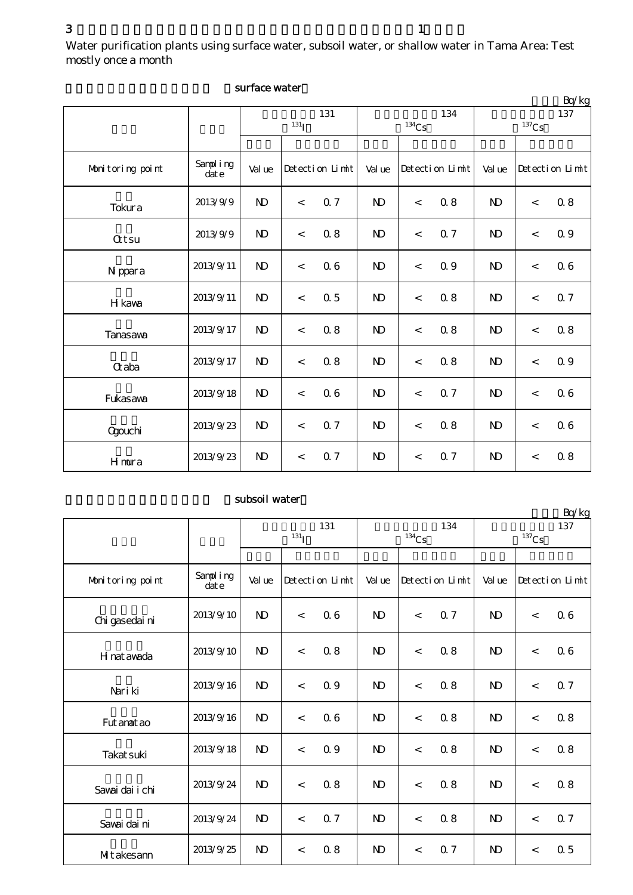|                  |                  |                |                         |                |                 |                | Bq/kg                      |
|------------------|------------------|----------------|-------------------------|----------------|-----------------|----------------|----------------------------|
|                  |                  |                | 131<br>131 <sub>I</sub> |                | 134<br>$134$ Cs |                | 137<br>$^{137}\mathrm{Cs}$ |
|                  |                  |                |                         |                |                 |                |                            |
| Monitoring point | Sampling<br>date | Val ue         | Detection Limit         | Val ue         | Detection Limit | Val ue         | Detection Limit            |
| Tokura           | 2013/9/9         | N <sub>D</sub> | <b>Q</b> 7<br>$\,<$     | $\mathbf{N}$   | 0.8<br>$\,<$    | $\mathbf{D}$   | 0.8<br>$\,<$               |
| <b>Qtsu</b>      | 2013/9/9         | N <sub>D</sub> | 0.8<br>$\lt$            | N <sub>D</sub> | 0.7<br>$\,<\,$  | $\mathbf{D}$   | 0.9<br>$\lt$               |
| N ppara          | 2013/9/11        | $\mathbf{D}$   | 06<br>$\,<$             | $\mathbf{N}$   | 0.9<br>$\,<$    | $\mathbf{D}$   | 06<br>$\lt$                |
| H kawa           | 2013/9/11        | $\mathbf{D}$   | 0.5<br>$\,<$            | $\mathbf{N}$   | 0.8<br>$\,<$    | $\mathbf{D}$   | 0.7<br>$\,<$               |
| Tanasawa         | 2013/9/17        | N <sub>D</sub> | 0.8<br>$\,<$            | N <sub>D</sub> | 0.8<br>$\,<$    | $\mathbf{D}$   | 0.8<br>$\,<$               |
| <b>G</b> aba     | 2013/9/17        | N <sub>D</sub> | 0.8<br>$\,<$            | N <sub>D</sub> | 0.8<br>$\,<\,$  | $\mathbf{D}$   | 0.9<br>$\lt$               |
| Fukasawa         | 2013/9/18        | $\mathbf{D}$   | 06<br>$\prec$           | $\mathbf{N}$   | 0.7<br>$\,<\,$  | $\mathbf{D}$   | 06<br>$\,<\,$              |
| <b>Ogouchi</b>   | 2013/9/23        | N <sub>D</sub> | 0.7<br>$\lt$            | <sub>N</sub>   | 0.8<br>$\,<\,$  | N <sub>D</sub> | 06<br>$\lt$                |
| Hmura            | 2013/9/23        | $\mathbf{D}$   | 0.7<br>$\,<$            | $\mathbf{N}$   | 0.7<br>$\,<$    | $\mathbf{D}$   | 0.8<br>$\,<$               |

#### surface water

### subsoil water

|                   |                  |                | $^{131}I$                | 131             |                | $134$ Cs | 134             |                | $137$ Cs | 137             |  |  |
|-------------------|------------------|----------------|--------------------------|-----------------|----------------|----------|-----------------|----------------|----------|-----------------|--|--|
|                   |                  |                |                          |                 |                |          |                 |                |          |                 |  |  |
| Monitoring point  | Sampling<br>date | Val ue         |                          | Detection Limit | Val ue         |          | Detection Limit | Val ue         |          | Detection Limit |  |  |
| Chi gasedai ni    | 2013/9/10        | $\mathbf{D}$   | $\overline{\phantom{a}}$ | 06              | $\mathbf{N}$   | $\lt$    | 0.7             | $\mathbf{D}$   | $\,<$    | 06              |  |  |
| H nat awada       | 2013/9/10        | $\mathbf{D}$   | $\lt$                    | 0.8             | N <sub>D</sub> | $\lt$    | 0.8             | N <sub>D</sub> | $\,<\,$  | 06              |  |  |
| Nari ki           | 2013/9/16        | $\mathbf{N}$   | $\,<$                    | 0.9             | $\mathbf{N}$   | $\lt$    | 0.8             | $\mathbf{D}$   | $\,<$    | 0.7             |  |  |
| Fut anat ao       | 2013/9/16        | $\mathbf{D}$   | $\lt$                    | 06              | N <sub>D</sub> | $\lt$    | 0.8             | $\mathbf{D}$   | $\lt$    | 0.8             |  |  |
| <b>Takat suki</b> | 2013/9/18        | $\mathbf{D}$   | $\,<$                    | 0.9             | $\mathbf{N}$   | $\,<$    | 0.8             | $\mathbf{D}$   | $\,<$    | 0.8             |  |  |
| Savai dai i chi   | 2013/9/24        | $\mathbf{D}$   | $\lt$                    | 0.8             | N <sub>D</sub> | $\lt$    | 0.8             | $\mathbf{D}$   | $\,<$    | 0.8             |  |  |
| Savai dai ni      | 2013/9/24        | N <sub>D</sub> | $\lt$                    | 0.7             | $\mathbf{N}$   | $\lt$    | 0.8             | $\mathbf{D}$   | $\lt$    | 0.7             |  |  |
| Mitakesann        | 2013/9/25        | $\mathbf{D}$   | $\,<\,$                  | 0.8             | $\mathbf{D}$   | $\,<\,$  | 0.7             | $\mathbf{D}$   | $\,<$    | 0.5             |  |  |

 $Rg/kg$